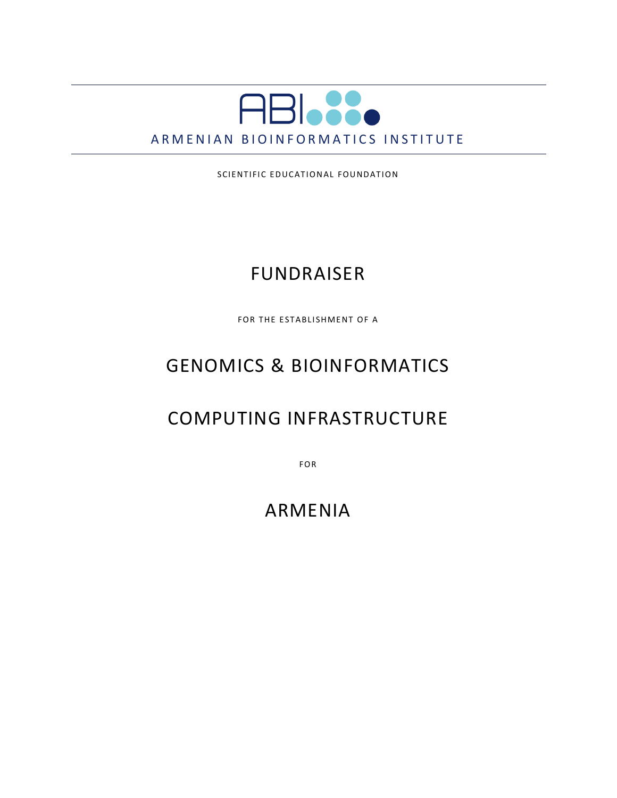

SCIENTIFIC EDUCATIONAL FOUNDATION

### FUNDRAISER

FOR THE ESTABLISHMENT OF A

# GENOMICS & BIOINFORMATICS

### COMPUTING INFRASTRUCTURE

FOR

### ARMENIA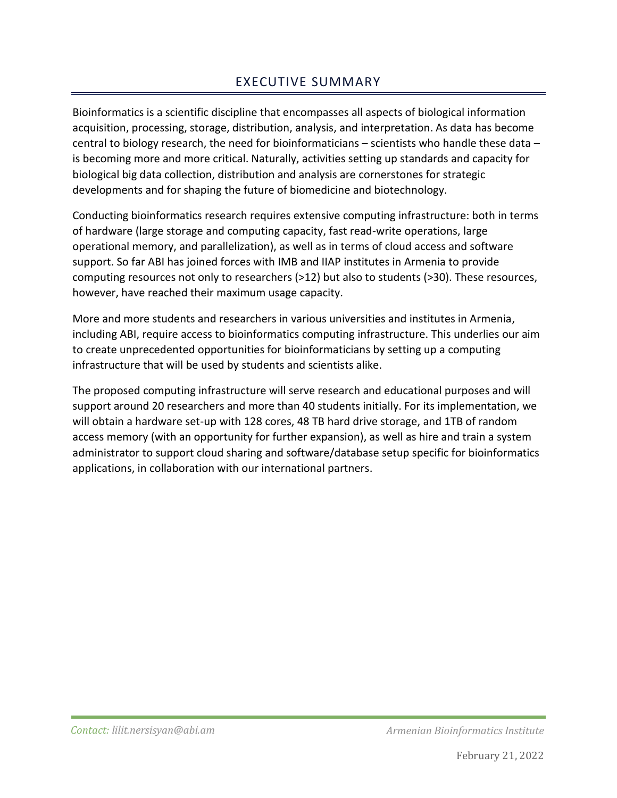### EXECUTIVE SUMMARY

Bioinformatics is a scientific discipline that encompasses all aspects of biological information acquisition, processing, storage, distribution, analysis, and interpretation. As data has become central to biology research, the need for bioinformaticians – scientists who handle these data – is becoming more and more critical. Naturally, activities setting up standards and capacity for biological big data collection, distribution and analysis are cornerstones for strategic developments and for shaping the future of biomedicine and biotechnology.

Conducting bioinformatics research requires extensive computing infrastructure: both in terms of hardware (large storage and computing capacity, fast read-write operations, large operational memory, and parallelization), as well as in terms of cloud access and software support. So far ABI has joined forces with IMB and IIAP institutes in Armenia to provide computing resources not only to researchers (>12) but also to students (>30). These resources, however, have reached their maximum usage capacity.

More and more students and researchers in various universities and institutes in Armenia, including ABI, require access to bioinformatics computing infrastructure. This underlies our aim to create unprecedented opportunities for bioinformaticians by setting up a computing infrastructure that will be used by students and scientists alike.

The proposed computing infrastructure will serve research and educational purposes and will support around 20 researchers and more than 40 students initially. For its implementation, we will obtain a hardware set-up with 128 cores, 48 TB hard drive storage, and 1TB of random access memory (with an opportunity for further expansion), as well as hire and train a system administrator to support cloud sharing and software/database setup specific for bioinformatics applications, in collaboration with our international partners.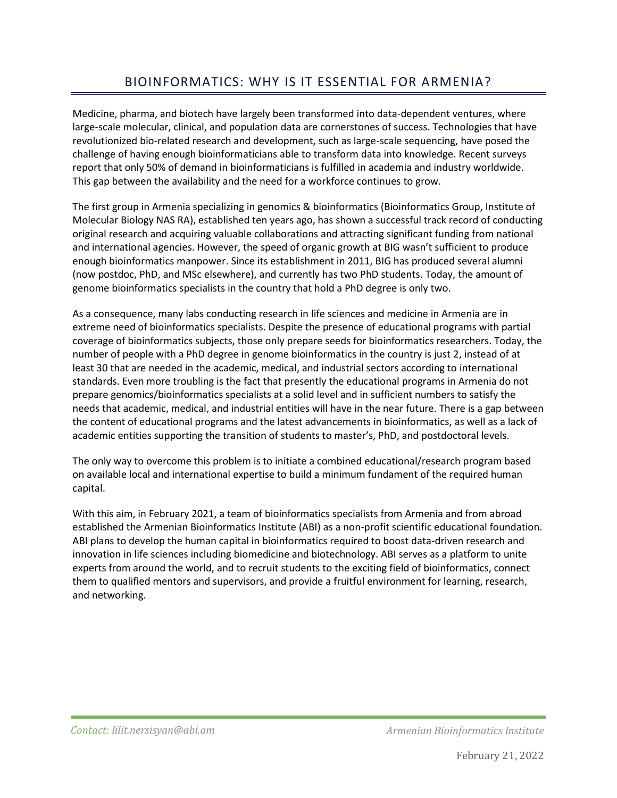### BIOINFORMATICS: WHY IS IT ESSENTIAL FOR ARMENIA?

Medicine, pharma, and biotech have largely been transformed into data-dependent ventures, where large-scale molecular, clinical, and population data are cornerstones of success. Technologies that have revolutionized bio-related research and development, such as large-scale sequencing, have posed the challenge of having enough bioinformaticians able to transform data into knowledge. Recent surveys report that only 50% of demand in bioinformaticians is fulfilled in academia and industry worldwide. This gap between the availability and the need for a workforce continues to grow.

The first group in Armenia specializing in genomics & bioinformatics (Bioinformatics Group, Institute of Molecular Biology NAS RA), established ten years ago, has shown a successful track record of conducting original research and acquiring valuable collaborations and attracting significant funding from national and international agencies. However, the speed of organic growth at BIG wasn't sufficient to produce enough bioinformatics manpower. Since its establishment in 2011, BIG has produced several alumni (now postdoc, PhD, and MSc elsewhere), and currently has two PhD students. Today, the amount of genome bioinformatics specialists in the country that hold a PhD degree is only two.

As a consequence, many labs conducting research in life sciences and medicine in Armenia are in extreme need of bioinformatics specialists. Despite the presence of educational programs with partial coverage of bioinformatics subjects, those only prepare seeds for bioinformatics researchers. Today, the number of people with a PhD degree in genome bioinformatics in the country is just 2, instead of at least 30 that are needed in the academic, medical, and industrial sectors according to international standards. Even more troubling is the fact that presently the educational programs in Armenia do not prepare genomics/bioinformatics specialists at a solid level and in sufficient numbers to satisfy the needs that academic, medical, and industrial entities will have in the near future. There is a gap between the content of educational programs and the latest advancements in bioinformatics, as well as a lack of academic entities supporting the transition of students to master's, PhD, and postdoctoral levels.

The only way to overcome this problem is to initiate a combined educational/research program based on available local and international expertise to build a minimum fundament of the required human capital.

With this aim, in February 2021, a team of bioinformatics specialists from Armenia and from abroad established the Armenian Bioinformatics Institute (ABI) as a non-profit scientific educational foundation. ABI plans to develop the human capital in bioinformatics required to boost data-driven research and innovation in life sciences including biomedicine and biotechnology. ABI serves as a platform to unite experts from around the world, and to recruit students to the exciting field of bioinformatics, connect them to qualified mentors and supervisors, and provide a fruitful environment for learning, research, and networking.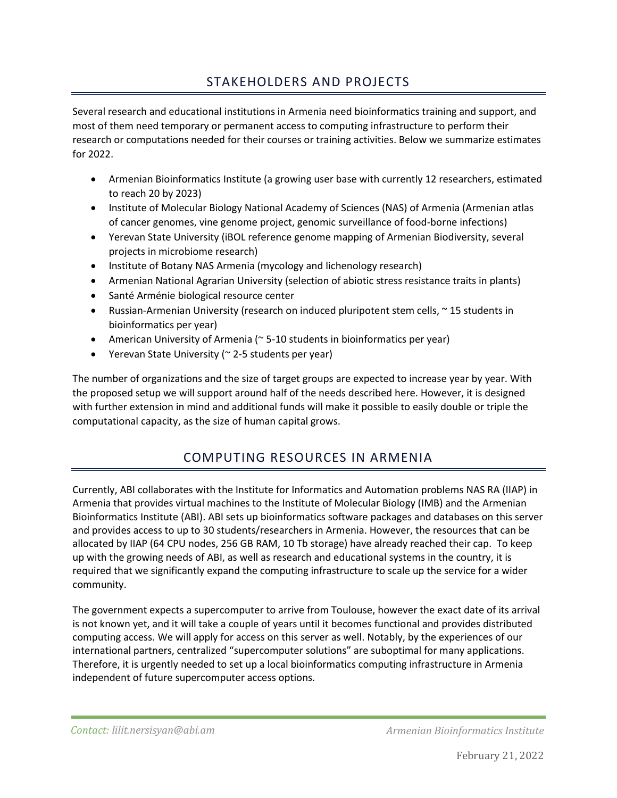### STAKEHOLDERS AND PROJECTS

Several research and educational institutions in Armenia need bioinformatics training and support, and most of them need temporary or permanent access to computing infrastructure to perform their research or computations needed for their courses or training activities. Below we summarize estimates for 2022.

- Armenian Bioinformatics Institute (a growing user base with currently 12 researchers, estimated to reach 20 by 2023)
- Institute of Molecular Biology National Academy of Sciences (NAS) of Armenia (Armenian atlas of cancer genomes, vine genome project, genomic surveillance of food-borne infections)
- Yerevan State University (iBOL reference genome mapping of Armenian Biodiversity, several projects in microbiome research)
- Institute of Botany NAS Armenia (mycology and lichenology research)
- Armenian National Agrarian University (selection of abiotic stress resistance traits in plants)
- Santé Arménie biological resource center
- Russian-Armenian University (research on induced pluripotent stem cells, ~ 15 students in bioinformatics per year)
- American University of Armenia ( $\approx$  5-10 students in bioinformatics per year)
- Yerevan State University (~ 2-5 students per year)

The number of organizations and the size of target groups are expected to increase year by year. With the proposed setup we will support around half of the needs described here. However, it is designed with further extension in mind and additional funds will make it possible to easily double or triple the computational capacity, as the size of human capital grows.

#### COMPUTING RESOURCES IN ARMENIA

Currently, ABI collaborates with the Institute for Informatics and Automation problems NAS RA (IIAP) in Armenia that provides virtual machines to the Institute of Molecular Biology (IMB) and the Armenian Bioinformatics Institute (ABI). ABI sets up bioinformatics software packages and databases on this server and provides access to up to 30 students/researchers in Armenia. However, the resources that can be allocated by IIAP (64 CPU nodes, 256 GB RAM, 10 Tb storage) have already reached their cap. To keep up with the growing needs of ABI, as well as research and educational systems in the country, it is required that we significantly expand the computing infrastructure to scale up the service for a wider community.

The government expects a supercomputer to arrive from Toulouse, however the exact date of its arrival is not known yet, and it will take a couple of years until it becomes functional and provides distributed computing access. We will apply for access on this server as well. Notably, by the experiences of our international partners, centralized "supercomputer solutions" are suboptimal for many applications. Therefore, it is urgently needed to set up a local bioinformatics computing infrastructure in Armenia independent of future supercomputer access options.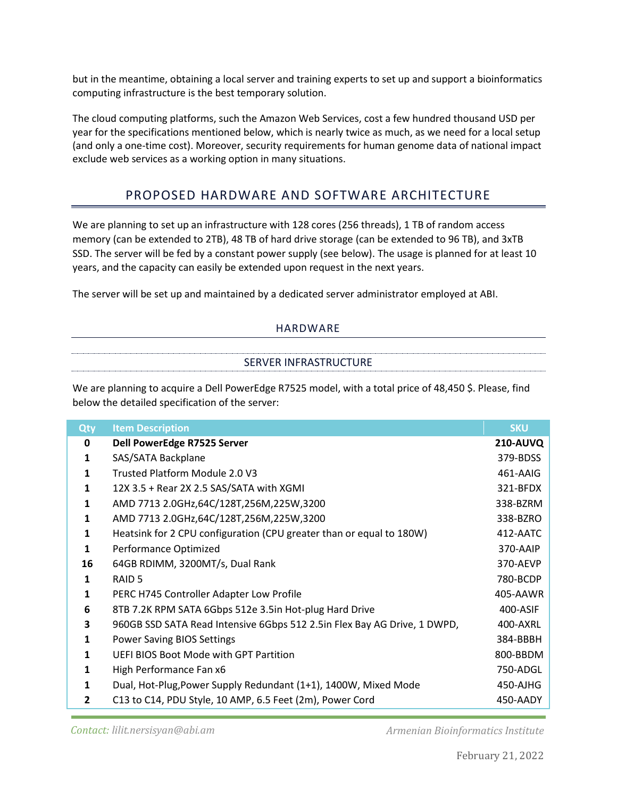but in the meantime, obtaining a local server and training experts to set up and support a bioinformatics computing infrastructure is the best temporary solution.

The cloud computing platforms, such the Amazon Web Services, cost a few hundred thousand USD per year for the specifications mentioned below, which is nearly twice as much, as we need for a local setup (and only a one-time cost). Moreover, security requirements for human genome data of national impact exclude web services as a working option in many situations.

#### PROPOSED HARDWARE AND SOFTWARE ARCHITECTURE

We are planning to set up an infrastructure with 128 cores (256 threads), 1 TB of random access memory (can be extended to 2TB), 48 TB of hard drive storage (can be extended to 96 TB), and 3xTB SSD. The server will be fed by a constant power supply (see below). The usage is planned for at least 10 years, and the capacity can easily be extended upon request in the next years.

The server will be set up and maintained by a dedicated server administrator employed at ABI.

#### HARDWARE

# SERVER INFRASTRUCTURE

We are planning to acquire a Dell PowerEdge R7525 model, with a total price of 48,450 \$. Please, find below the detailed specification of the server:

| Qty            | <b>Item Description</b>                                                  | <b>SKU</b>      |
|----------------|--------------------------------------------------------------------------|-----------------|
| 0              | Dell PowerEdge R7525 Server                                              | <b>210-AUVQ</b> |
| 1              | SAS/SATA Backplane                                                       | 379-BDSS        |
| 1              | Trusted Platform Module 2.0 V3                                           | 461-AAIG        |
| 1              | 12X 3.5 + Rear 2X 2.5 SAS/SATA with XGMI                                 | 321-BFDX        |
| 1              | AMD 7713 2.0GHz,64C/128T,256M,225W,3200                                  | 338-BZRM        |
| 1              | AMD 7713 2.0GHz,64C/128T,256M,225W,3200                                  | 338-BZRO        |
| $\mathbf{1}$   | Heatsink for 2 CPU configuration (CPU greater than or equal to 180W)     | 412-AATC        |
| $\mathbf{1}$   | Performance Optimized                                                    | 370-AAIP        |
| 16             | 64GB RDIMM, 3200MT/s, Dual Rank                                          | 370-AEVP        |
| 1              | RAID <sub>5</sub>                                                        | 780-BCDP        |
| 1              | PERC H745 Controller Adapter Low Profile                                 | 405-AAWR        |
| 6              | 8TB 7.2K RPM SATA 6Gbps 512e 3.5in Hot-plug Hard Drive                   | 400-ASIF        |
| 3              | 960GB SSD SATA Read Intensive 6Gbps 512 2.5in Flex Bay AG Drive, 1 DWPD, | 400-AXRL        |
| 1              | <b>Power Saving BIOS Settings</b>                                        | 384-BBBH        |
| 1              | <b>UEFI BIOS Boot Mode with GPT Partition</b>                            | 800-BBDM        |
| 1              | High Performance Fan x6                                                  | 750-ADGL        |
| 1              | Dual, Hot-Plug, Power Supply Redundant (1+1), 1400W, Mixed Mode          | 450-AJHG        |
| $\overline{2}$ | C13 to C14, PDU Style, 10 AMP, 6.5 Feet (2m), Power Cord                 | 450-AADY        |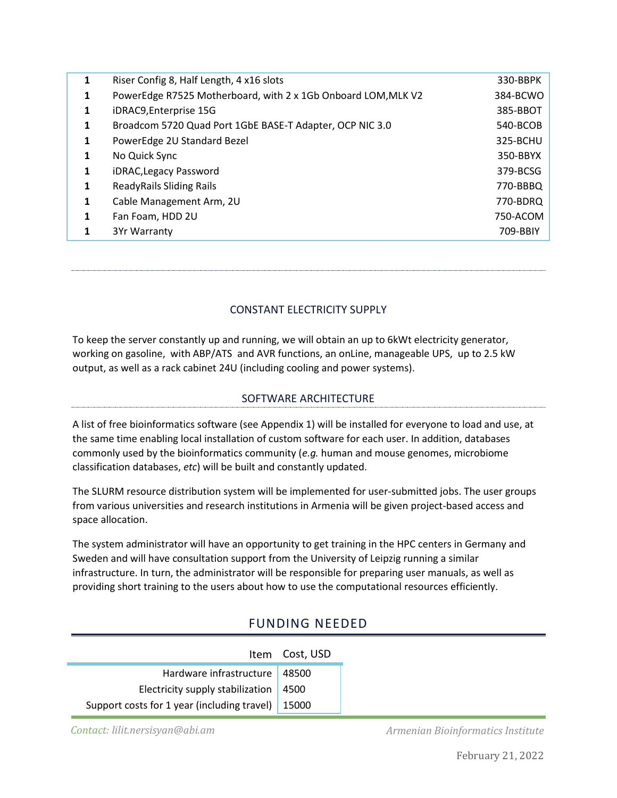| 1 | Riser Config 8, Half Length, 4 x16 slots                      | 330-BBPK |
|---|---------------------------------------------------------------|----------|
| 1 | PowerEdge R7525 Motherboard, with 2 x 1Gb Onboard LOM, MLK V2 | 384-BCWO |
| 1 | iDRAC9, Enterprise 15G                                        | 385-BBOT |
| 1 | Broadcom 5720 Quad Port 1GbE BASE-T Adapter, OCP NIC 3.0      | 540-BCOB |
| 1 | PowerEdge 2U Standard Bezel                                   | 325-BCHU |
| 1 | No Quick Sync                                                 | 350-BBYX |
| 1 | iDRAC, Legacy Password                                        | 379-BCSG |
| 1 | <b>ReadyRails Sliding Rails</b>                               | 770-BBBQ |
| 1 | Cable Management Arm, 2U                                      | 770-BDRQ |
| 1 | Fan Foam, HDD 2U                                              | 750-ACOM |
|   | 3Yr Warranty                                                  | 709-BBIY |

CONSTANT ELECTRICITY SUPPLY

To keep the server constantly up and running, we will obtain an up to 6kWt electricity generator, working on gasoline, with ABP/ATS and AVR functions, an onLine, manageable UPS, up to 2.5 kW output, as well as a rack cabinet 24U (including cooling and power systems).

#### SOFTWARE ARCHITECTURE

A list of free bioinformatics software (see Appendix 1) will be installed for everyone to load and use, at the same time enabling local installation of custom software for each user. In addition, databases commonly used by the bioinformatics community (*e.g.* human and mouse genomes, microbiome classification databases, *etc*) will be built and constantly updated.

The SLURM resource distribution system will be implemented for user-submitted jobs. The user groups from various universities and research institutions in Armenia will be given project-based access and space allocation.

The system administrator will have an opportunity to get training in the HPC centers in Germany and Sweden and will have consultation support from the University of Leipzig running a similar infrastructure. In turn, the administrator will be responsible for preparing user manuals, as well as providing short training to the users about how to use the computational resources efficiently.

#### FUNDING NEEDED

|                                                     | Item Cost, USD |
|-----------------------------------------------------|----------------|
| Hardware infrastructure   48500                     |                |
| Electricity supply stabilization $\vert$ 4500       |                |
| Support costs for 1 year (including travel)   15000 |                |

*Contact: lilit.nersisyan@abi.am*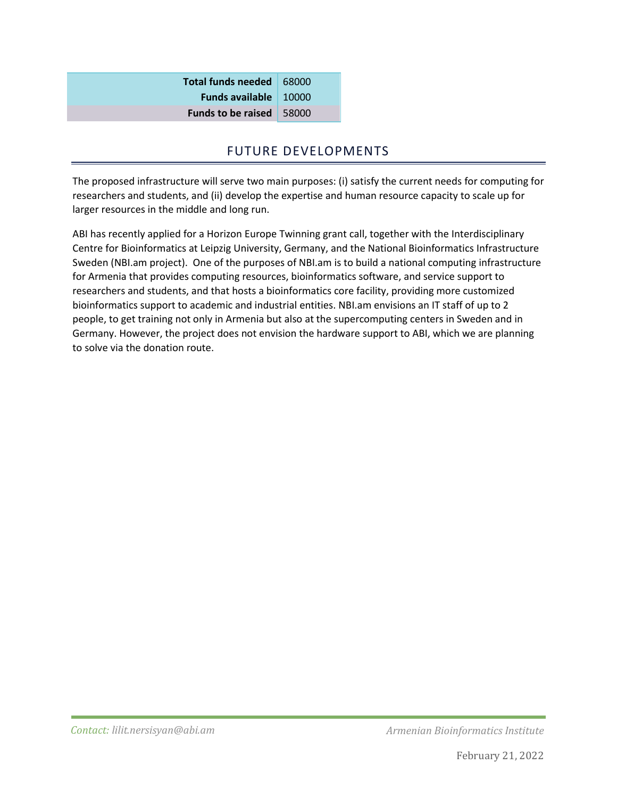**Total funds needed** 68000 **Funds available** 10000 **Funds to be raised** 58000

#### FUTURE DEVELOPMENTS

The proposed infrastructure will serve two main purposes: (i) satisfy the current needs for computing for researchers and students, and (ii) develop the expertise and human resource capacity to scale up for larger resources in the middle and long run.

ABI has recently applied for a Horizon Europe Twinning grant call, together with the Interdisciplinary Centre for Bioinformatics at Leipzig University, Germany, and the National Bioinformatics Infrastructure Sweden (NBI.am project). One of the purposes of NBI.am is to build a national computing infrastructure for Armenia that provides computing resources, bioinformatics software, and service support to researchers and students, and that hosts a bioinformatics core facility, providing more customized bioinformatics support to academic and industrial entities. NBI.am envisions an IT staff of up to 2 people, to get training not only in Armenia but also at the supercomputing centers in Sweden and in Germany. However, the project does not envision the hardware support to ABI, which we are planning to solve via the donation route.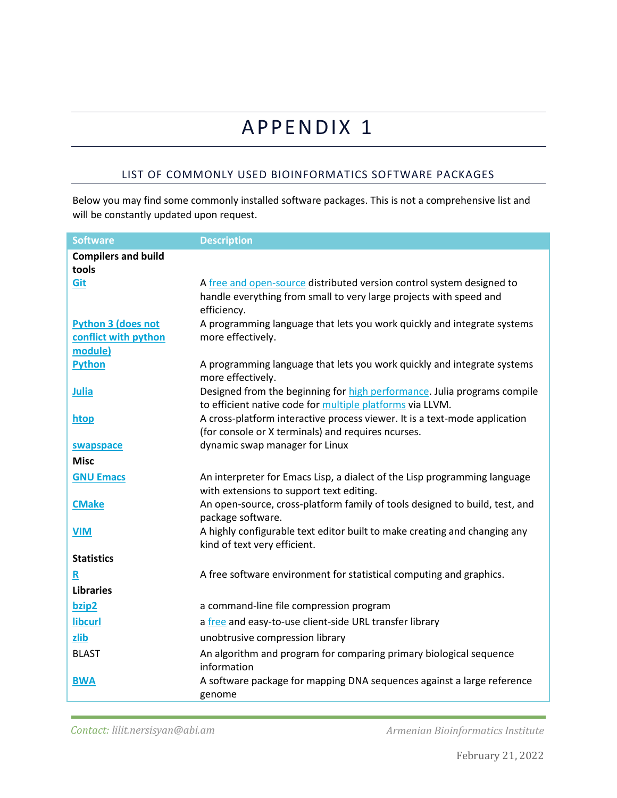# APPENDIX 1

#### LIST OF COMMONLY USED BIOINFORMATICS SOFTWARE PACKAGES

Below you may find some commonly installed software packages. This is not a comprehensive list and will be constantly updated upon request.

| <b>Software</b><br><b>Description</b>                                                                |  |
|------------------------------------------------------------------------------------------------------|--|
| <b>Compilers and build</b>                                                                           |  |
| tools                                                                                                |  |
| Git<br>A free and open-source distributed version control system designed to                         |  |
| handle everything from small to very large projects with speed and                                   |  |
| efficiency.                                                                                          |  |
| <b>Python 3 (does not</b><br>A programming language that lets you work quickly and integrate systems |  |
| conflict with python<br>more effectively.                                                            |  |
| module)                                                                                              |  |
| <b>Python</b><br>A programming language that lets you work quickly and integrate systems             |  |
| more effectively.                                                                                    |  |
| Designed from the beginning for high performance. Julia programs compile<br><b>Julia</b>             |  |
| to efficient native code for multiple platforms via LLVM.                                            |  |
| A cross-platform interactive process viewer. It is a text-mode application<br>htop                   |  |
| (for console or X terminals) and requires ncurses.                                                   |  |
| dynamic swap manager for Linux<br>swapspace                                                          |  |
| <b>Misc</b>                                                                                          |  |
| <b>GNU Emacs</b><br>An interpreter for Emacs Lisp, a dialect of the Lisp programming language        |  |
| with extensions to support text editing.                                                             |  |
| An open-source, cross-platform family of tools designed to build, test, and<br><b>CMake</b>          |  |
| package software.                                                                                    |  |
| A highly configurable text editor built to make creating and changing any<br><b>VIM</b>              |  |
| kind of text very efficient.                                                                         |  |
| <b>Statistics</b>                                                                                    |  |
| A free software environment for statistical computing and graphics.<br>R                             |  |
| <b>Libraries</b>                                                                                     |  |
| a command-line file compression program<br>bzip2                                                     |  |
| <b>libcurl</b><br>a free and easy-to-use client-side URL transfer library                            |  |
| unobtrusive compression library<br>zlib                                                              |  |
| <b>BLAST</b><br>An algorithm and program for comparing primary biological sequence                   |  |
| information                                                                                          |  |
| A software package for mapping DNA sequences against a large reference<br><b>BWA</b>                 |  |
| genome                                                                                               |  |

*Contact: lilit.nersisyan@abi.am*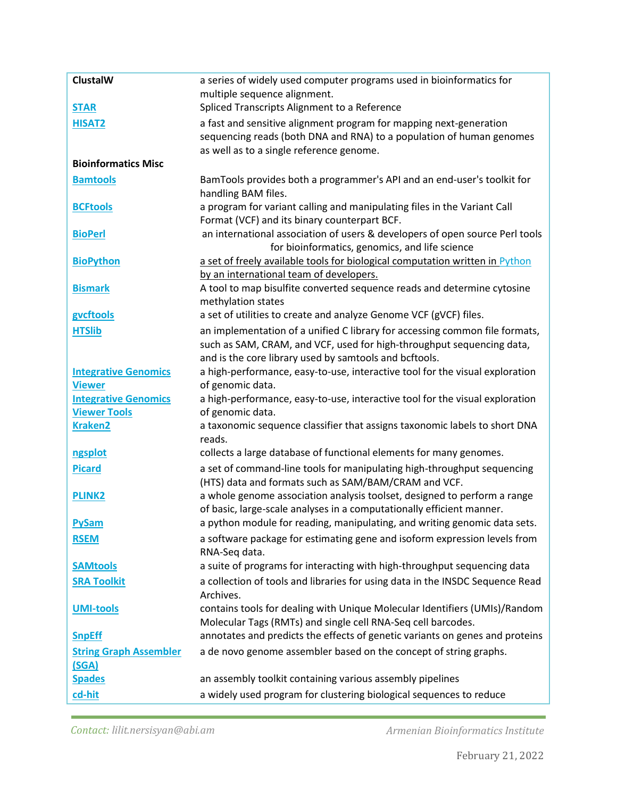| <b>ClustalW</b>               | a series of widely used computer programs used in bioinformatics for                                                                              |
|-------------------------------|---------------------------------------------------------------------------------------------------------------------------------------------------|
|                               | multiple sequence alignment.                                                                                                                      |
| <b>STAR</b>                   | Spliced Transcripts Alignment to a Reference                                                                                                      |
| <b>HISAT2</b>                 | a fast and sensitive alignment program for mapping next-generation                                                                                |
|                               | sequencing reads (both DNA and RNA) to a population of human genomes                                                                              |
|                               | as well as to a single reference genome.                                                                                                          |
| <b>Bioinformatics Misc</b>    |                                                                                                                                                   |
| <b>Bamtools</b>               | BamTools provides both a programmer's API and an end-user's toolkit for                                                                           |
|                               | handling BAM files.                                                                                                                               |
| <b>BCFtools</b>               | a program for variant calling and manipulating files in the Variant Call                                                                          |
|                               | Format (VCF) and its binary counterpart BCF.                                                                                                      |
| <b>BioPerl</b>                | an international association of users & developers of open source Perl tools                                                                      |
|                               | for bioinformatics, genomics, and life science                                                                                                    |
| <b>BioPython</b>              | a set of freely available tools for biological computation written in Python                                                                      |
|                               | by an international team of developers.                                                                                                           |
| <b>Bismark</b>                | A tool to map bisulfite converted sequence reads and determine cytosine                                                                           |
|                               | methylation states                                                                                                                                |
| gvcftools                     | a set of utilities to create and analyze Genome VCF (gVCF) files.                                                                                 |
| <b>HTSlib</b>                 | an implementation of a unified C library for accessing common file formats,                                                                       |
|                               | such as SAM, CRAM, and VCF, used for high-throughput sequencing data,                                                                             |
|                               | and is the core library used by samtools and bcftools.                                                                                            |
| <b>Integrative Genomics</b>   | a high-performance, easy-to-use, interactive tool for the visual exploration                                                                      |
| <b>Viewer</b>                 | of genomic data.                                                                                                                                  |
| <b>Integrative Genomics</b>   | a high-performance, easy-to-use, interactive tool for the visual exploration                                                                      |
| <b>Viewer Tools</b>           | of genomic data.                                                                                                                                  |
| <b>Kraken2</b>                | a taxonomic sequence classifier that assigns taxonomic labels to short DNA<br>reads.                                                              |
| ngsplot                       | collects a large database of functional elements for many genomes.                                                                                |
|                               |                                                                                                                                                   |
| <b>Picard</b>                 | a set of command-line tools for manipulating high-throughput sequencing                                                                           |
|                               | (HTS) data and formats such as SAM/BAM/CRAM and VCF.                                                                                              |
| <b>PLINK2</b>                 | a whole genome association analysis toolset, designed to perform a range<br>of basic, large-scale analyses in a computationally efficient manner. |
|                               | a python module for reading, manipulating, and writing genomic data sets.                                                                         |
| <b>PySam</b>                  |                                                                                                                                                   |
| <b>RSEM</b>                   | a software package for estimating gene and isoform expression levels from                                                                         |
|                               | RNA-Seq data.                                                                                                                                     |
| <b>SAMtools</b>               | a suite of programs for interacting with high-throughput sequencing data                                                                          |
| <b>SRA Toolkit</b>            | a collection of tools and libraries for using data in the INSDC Sequence Read                                                                     |
|                               | Archives.                                                                                                                                         |
| <b>UMI-tools</b>              | contains tools for dealing with Unique Molecular Identifiers (UMIs)/Random                                                                        |
|                               | Molecular Tags (RMTs) and single cell RNA-Seq cell barcodes.                                                                                      |
| <b>SnpEff</b>                 | annotates and predicts the effects of genetic variants on genes and proteins                                                                      |
| <b>String Graph Assembler</b> | a de novo genome assembler based on the concept of string graphs.                                                                                 |
| (SGA)                         |                                                                                                                                                   |
| <b>Spades</b>                 | an assembly toolkit containing various assembly pipelines                                                                                         |
| cd-hit                        | a widely used program for clustering biological sequences to reduce                                                                               |

*Contact: lilit.nersisyan@abi.am*